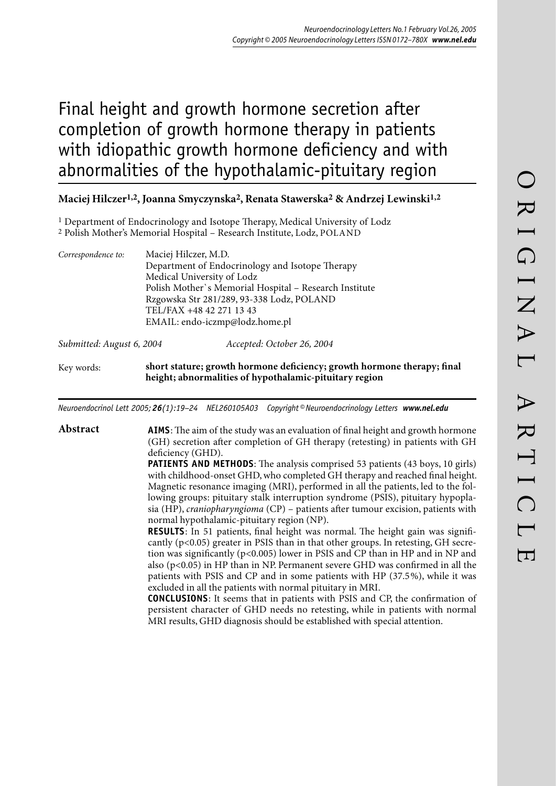# Final height and growth hormone secretion after completion of growth hormone therapy in patients with idiopathic growth hormone deficiency and with abnormalities of the hypothalamic-pituitary region

# **Maciej Hilczer1,2, Joanna Smyczynska2, Renata Stawerska2 & Andrzej Lewinski1,2**

- <sup>1</sup> Department of Endocrinology and Isotope Therapy, Medical University of Lodz
- 2 Polish Mother's Memorial Hospital Research Institute, Lodz, POLAND

| Correspondence to:        | Maciej Hilczer, M.D.                                                                                                              |
|---------------------------|-----------------------------------------------------------------------------------------------------------------------------------|
|                           | Department of Endocrinology and Isotope Therapy                                                                                   |
|                           | Medical University of Lodz                                                                                                        |
|                           | Polish Mother's Memorial Hospital - Research Institute                                                                            |
|                           | Rzgowska Str 281/289, 93-338 Lodz, POLAND                                                                                         |
|                           | TEL/FAX +48 42 271 13 43                                                                                                          |
|                           | EMAIL: endo-iczmp@lodz.home.pl                                                                                                    |
| Submitted: August 6, 2004 | Accepted: October 26, 2004                                                                                                        |
| Key words:                | short stature; growth hormone deficiency; growth hormone therapy; final<br>height; abnormalities of hypothalamic-pituitary region |

*Neuroendocrinol Lett 2005; 26(1):19–24 NEL260105A03 Copyright © Neuroendocrinology Letters www.nel.edu*

# Abstract **AIMS**: The aim of the study was an evaluation of final height and growth hormone (GH) secretion after completion of GH therapy (retesting) in patients with GH deficiency (GHD).

**PATIENTS AND METHODS:** The analysis comprised 53 patients (43 boys, 10 girls) with childhood-onset GHD, who completed GH therapy and reached final height. Magnetic resonance imaging (MRI), performed in all the patients, led to the following groups: pituitary stalk interruption syndrome (PSIS), pituitary hypoplasia (HP), *craniopharyngioma* (CP) – patients after tumour excision, patients with normal hypothalamic-pituitary region (NP).

**RESULTS**: In 51 patients, final height was normal. The height gain was significantly (p<0.05) greater in PSIS than in that other groups. In retesting, GH secretion was significantly (p<0.005) lower in PSIS and CP than in HP and in NP and also (p<0.05) in HP than in NP. Permanent severe GHD was confirmed in all the patients with PSIS and CP and in some patients with HP (37.5 %), while it was excluded in all the patients with normal pituitary in MRI.

**CONCLUSIONS** : It seems that in patients with PSIS and CP, the confirmation of persistent character of GHD needs no retesting, while in patients with normal MRI results, GHD diagnosis should be established with special attention.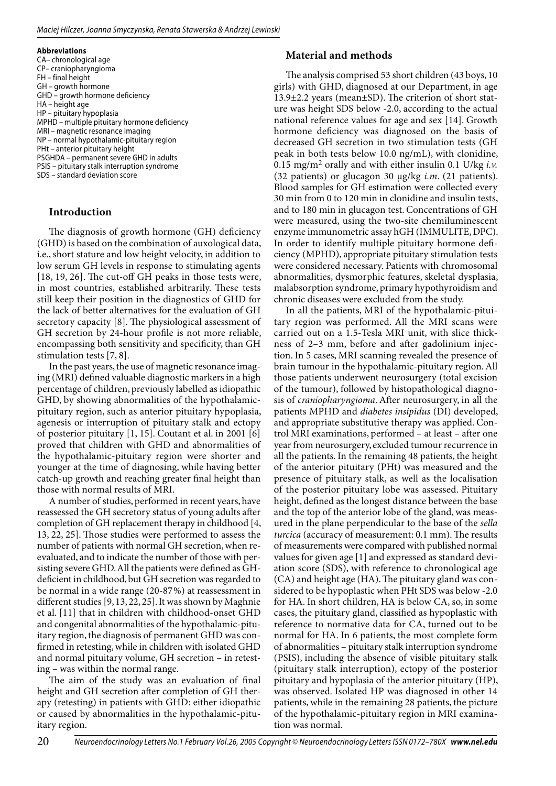#### **Abbreviations**

CA– chronological age CP– craniopharyngioma FH – final height GH – growth hormone GHD – growth hormone deficiency HA – height age HP – pituitary hypoplasia MPHD – multiple pituitary hormone deficiency MRI – magnetic resonance imaging NP – normal hypothalamic-pituitary region PHt – anterior pituitary height PSGHDA – permanent severe GHD in adults PSIS – pituitary stalk interruption syndrome SDS – standard deviation score

## **Introduction**

The diagnosis of growth hormone (GH) deficiency (GHD) is based on the combination of auxological data, i.e., short stature and low height velocity, in addition to low serum GH levels in response to stimulating agents  $[18, 19, 26]$ . The cut-off GH peaks in those tests were, in most countries, established arbitrarily. These tests still keep their position in the diagnostics of GHD for the lack of better alternatives for the evaluation of GH secretory capacity [8]. The physiological assessment of GH secretion by 24-hour profile is not more reliable, encompassing both sensitivity and specificity, than GH stimulation tests [7, 8].

In the past years, the use of magnetic resonance imaging (MRI) defined valuable diagnostic markers in a high percentage of children, previously labelled as idiopathic GHD, by showing abnormalities of the hypothalamicpituitary region, such as anterior pituitary hypoplasia, agenesis or interruption of pituitary stalk and ectopy of posterior pituitary [1, 15]. Coutant et al. in 2001 [6] proved that children with GHD and abnormalities of the hypothalamic-pituitary region were shorter and younger at the time of diagnosing, while having better catch-up growth and reaching greater final height than those with normal results of MRI.

A number of studies, performed in recent years, have reassessed the GH secretory status of young adults after completion of GH replacement therapy in childhood [4, 13, 22, 25]. Those studies were performed to assess the number of patients with normal GH secretion, when reevaluated, and to indicate the number of those with persisting severe GHD. All the patients were defined as GHdeficient in childhood, but GH secretion was regarded to be normal in a wide range (20-87 %) at reassessment in different studies [9, 13, 22, 25]. It was shown by Maghnie et al. [11] that in children with childhood-onset GHD and congenital abnormalities of the hypothalamic-pituitary region, the diagnosis of permanent GHD was confirmed in retesting, while in children with isolated GHD and normal pituitary volume, GH secretion – in retesting – was within the normal range.

The aim of the study was an evaluation of final height and GH secretion after completion of GH therapy (retesting) in patients with GHD: either idiopathic or caused by abnormalities in the hypothalamic-pituitary region.

## **Material and methods**

The analysis comprised 53 short children (43 boys, 10 girls) with GHD, diagnosed at our Department, in age  $13.9\pm2.2$  years (mean $\pm$ SD). The criterion of short stature was height SDS below -2.0, according to the actual national reference values for age and sex [14]. Growth hormone deficiency was diagnosed on the basis of decreased GH secretion in two stimulation tests (GH peak in both tests below 10.0 ng/mL), with clonidine, 0.15 mg/m2 orally and with either insulin 0.1 U/kg *i.v.* (32 patients) or glucagon 30 µg/kg *i.m*. (21 patients). Blood samples for GH estimation were collected every 30 min from 0 to 120 min in clonidine and insulin tests, and to 180 min in glucagon test. Concentrations of GH were measured, using the two-site chemiluminescent enzyme immunometric assay hGH (IMMULITE, DPC). In order to identify multiple pituitary hormone deficiency (MPHD), appropriate pituitary stimulation tests were considered necessary. Patients with chromosomal abnormalities, dysmorphic features, skeletal dysplasia, malabsorption syndrome, primary hypothyroidism and chronic diseases were excluded from the study.

In all the patients, MRI of the hypothalamic-pituitary region was performed. All the MRI scans were carried out on a 1.5-Tesla MRI unit, with slice thickness of 2-3 mm, before and after gadolinium injection. In 5 cases, MRI scanning revealed the presence of brain tumour in the hypothalamic-pituitary region. All those patients underwent neurosurgery (total excision of the tumour), followed by histopathological diagnosis of *craniopharyngioma*. After neurosurgery, in all the patients MPHD and *diabetes insipidus* (DI) developed, and appropriate substitutive therapy was applied. Control MRI examinations, performed - at least - after one year from neurosurgery, excluded tumour recurrence in all the patients. In the remaining 48 patients, the height of the anterior pituitary (PHt) was measured and the presence of pituitary stalk, as well as the localisation of the posterior pituitary lobe was assessed. Pituitary height, defined as the longest distance between the base and the top of the anterior lobe of the gland, was measured in the plane perpendicular to the base of the *sella*  turcica (accuracy of measurement: 0.1 mm). The results of measurements were compared with published normal values for given age [1] and expressed as standard deviation score (SDS), with reference to chronological age  $(CA)$  and height age  $(HA)$ . The pituitary gland was considered to be hypoplastic when PHt SDS was below -2.0 for HA. In short children, HA is below CA, so, in some cases, the pituitary gland, classified as hypoplastic with reference to normative data for CA, turned out to be normal for HA. In 6 patients, the most complete form of abnormalities – pituitary stalk interruption syndrome (PSIS), including the absence of visible pituitary stalk (pituitary stalk interruption), ectopy of the posterior pituitary and hypoplasia of the anterior pituitary (HP), was observed. Isolated HP was diagnosed in other 14 patients, while in the remaining 28 patients, the picture of the hypothalamic-pituitary region in MRI examination was normal.

20 Neuroendocrinology Letters No.1 February Vol.26, 2005 Copyright © Neuroendocrinology Letters ISSN 0172-780X www.nel.edu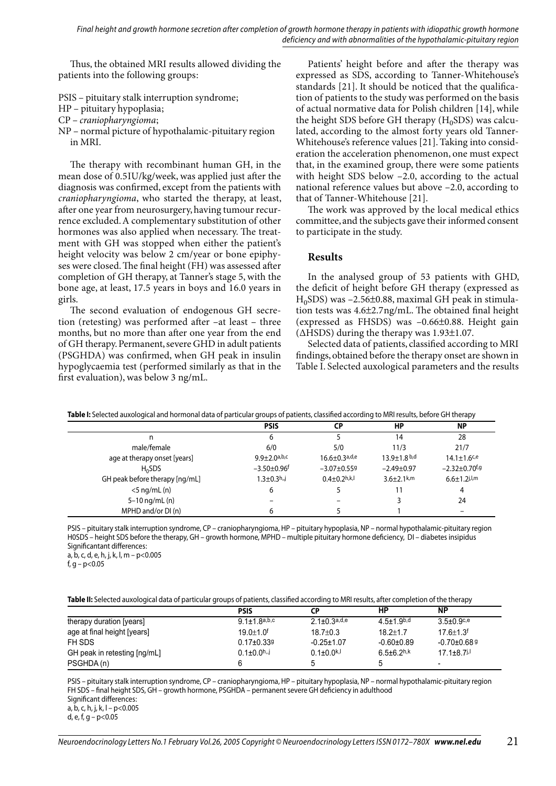Final height and growth hormone secretion after completion of growth hormone therapy in patients with idiopathic growth hormone deficiency and with abnormalities of the hypothalamic-pituitary region

Thus, the obtained MRI results allowed dividing the patients into the following groups:

- PSIS pituitary stalk interruption syndrome;
- HP pituitary hypoplasia ;
- CP *craniopharyngioma* ;
- NP normal picture of hypothalamic-pituitary region in MRI.

The therapy with recombinant human GH, in the mean dose of 0.5IU/kg/week, was applied just after the diagnosis was confirmed, except from the patients with *craniopharyngioma*, who started the therapy, at least, after one year from neurosurgery, having tumour recurrence excluded. A complementary substitution of other hormones was also applied when necessary. The treatment with GH was stopped when either the patient's height velocity was below 2 cm/year or bone epiphyses were closed. The final height (FH) was assessed after completion of GH therapy, at Tanner's stage 5, with the bone age, at least, 17.5 years in boys and 16.0 years in girls.

The second evaluation of endogenous GH secretion (retesting) was performed after  $-at$  least  $-$  three months, but no more than after one year from the end of GH therapy. Permanent, severe GHD in adult patients (PSGHDA) was confirmed, when GH peak in insulin hypoglycaemia test (performed similarly as that in the first evaluation), was below 3 ng/mL.

Patients' height before and after the therapy was expressed as SDS, according to Tanner-Whitehouse's standards [21]. It should be noticed that the qualification of patients to the study was performed on the basis of actual normative data for Polish children [14], while the height SDS before GH therapy  $(H_0SDS)$  was calculated, according to the almost forty years old Tanner-Whitehouse's reference values [21]. Taking into consideration the acceleration phenomenon, one must expect that, in the examined group, there were some patients with height SDS below –2.0, according to the actual national reference values but above –2.0, according to that of Tanner-Whitehouse [21].

The work was approved by the local medical ethics committee, and the subjects gave their informed consent to participate in the study.

#### **Results**

In the analysed group of 53 patients with GHD, the deficit of height before GH therapy (expressed as  $H_0$ SDS) was -2.56 $\pm$ 0.88, maximal GH peak in stimulation tests was  $4.6\pm2.7$  ng/mL. The obtained final height (expressed as FHSDS) was –0.66±0.88. Height gain (∆HSDS) during the therapy was 1.93±1.07.

Selected data of patients, classified according to MRI findings, obtained before the therapy onset are shown in Table I. Selected auxological parameters and the results

|  | Table I: Selected auxological and hormonal data of particular groups of patients, classified according to MRI results, before GH therapy |  |
|--|------------------------------------------------------------------------------------------------------------------------------------------|--|
|  |                                                                                                                                          |  |

|                                | <b>PSIS</b>                    | СP                              | HP                 | <b>NP</b>                       |
|--------------------------------|--------------------------------|---------------------------------|--------------------|---------------------------------|
| n                              | ь                              |                                 | 14                 | 28                              |
| male/female                    | 6/0                            | 5/0                             | 11/3               | 21/7                            |
| age at therapy onset [years]   | $9.9 + 2.0$ a,b,c              | $16.6 \pm 0.3$ <sub>a,d,e</sub> | $13.9 \pm 1.8$ b,d | $14.1 \pm 1.6$ <sup>c,e</sup>   |
| $H_0$ SDS                      | $-3.50 \pm 0.96$ <sup>f</sup>  | $-3.07 + 0.559$                 | $-2.49+0.97$       | $-2.32 \pm 0.70$ <sup>f,g</sup> |
| GH peak before therapy [ng/mL] | $1.3 \pm 0.3$ h <sub>n</sub> j | $0.4 + 0.2$ h,k,l               | $3.6 + 2.1$ k,m    | $6.6 \pm 1.2$ j,l,m             |
| $<$ 5 ng/mL $(n)$              | 6                              |                                 | 11                 | 4                               |
| $5 - 10$ ng/mL $(n)$           |                                |                                 |                    | 24                              |
| MPHD and/or DI (n)             | 6                              |                                 |                    | $\overline{\phantom{0}}$        |

PSIS – pituitary stalk interruption syndrome, CP – craniopharyngioma, HP – pituitary hypoplasia, NP – normal hypothalamic-pituitary region H0SDS – height SDS before the therapy, GH – growth hormone, MPHD – multiple pituitary hormone deficiency, DI – diabetes insipidus Significantant differences :

a, b, c, d, e, h, j, k, l, m – p<0.005

f, g –  $p<0.05$ 

| Table II: Selected auxological data of particular groups of patients, classified according to MRI results, after completion of the therapy |  |  |  |  |
|--------------------------------------------------------------------------------------------------------------------------------------------|--|--|--|--|
|                                                                                                                                            |  |  |  |  |

|                              | <b>PSIS</b>                   | СP                  | НP                         | <b>NP</b>                     |
|------------------------------|-------------------------------|---------------------|----------------------------|-------------------------------|
| therapy duration [years]     | $9.1 + 1.8$ a,b,c             | $2.1 \pm 0.3$ a,d,e | $4.5 + 1.9$ <sub>b,d</sub> | $3.5 \pm 0.9$ <sup>c,e</sup>  |
| age at final height [years]  | $19.0 + 1.0$ <sup>f</sup>     | $18.7 \pm 0.3$      | $18.2 \pm 1.7$             | $17.6 \pm 1.3$ <sup>f</sup>   |
| FH SDS                       | $0.17 \pm 0.339$              | $-0.25 \pm 1.07$    | $-0.60 \pm 0.89$           | $-0.70\pm0.689$               |
| GH peak in retesting [ng/mL] | $0.1 \pm 0.0$ <sup>h,,j</sup> | $0.1 \pm 0.0^{k,1}$ | $6.5 \pm 6.2$ h, k         | $17.1 \pm 8.7$ <sup>j,l</sup> |
| PSGHDA(n)                    |                               |                     |                            | -                             |

PSIS – pituitary stalk interruption syndrome, CP – craniopharyngioma, HP – pituitary hypoplasia, NP – normal hypothalamic-pituitary region FH SDS – final height SDS, GH – growth hormone, PSGHDA – permanent severe GH deficiency in adulthood Significant differences : a, b, c, h, j, k, l – p<0.005 d, e, f, g – p<0.05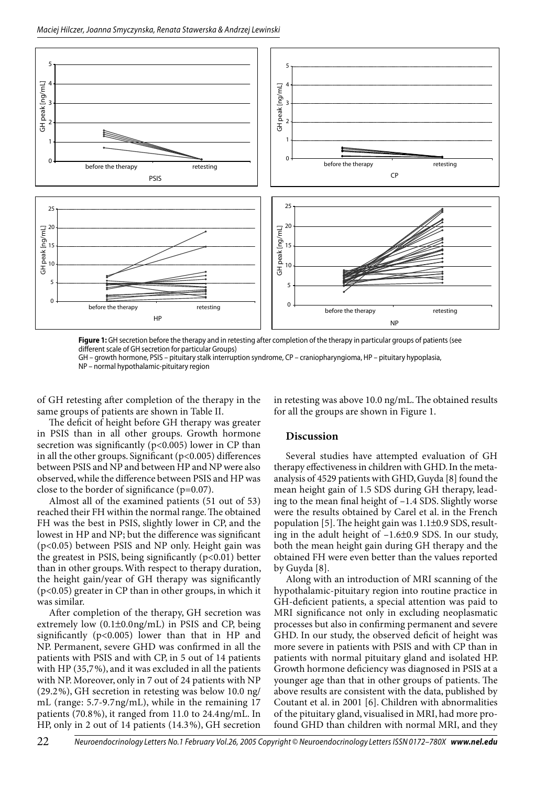

Figure 1: GH secretion before the therapy and in retesting after completion of the therapy in particular groups of patients (see different scale of GH secretion for particular Groups)

GH - growth hormone, PSIS - pituitary stalk interruption syndrome, CP - craniopharyngioma, HP - pituitary hypoplasia, NP - normal hypothalamic-pituitary region

of GH retesting after completion of the therapy in the same groups of patients are shown in Table II.

in retesting was above 10.0 ng/mL. The obtained results for all the groups are shown in Figure 1.

The deficit of height before GH therapy was greater in PSIS than in all other groups. Growth hormone secretion was significantly ( $p<0.005$ ) lower in CP than in all the other groups. Significant  $(p<0.005)$  differences between PSIS and NP and between HP and NP were also observed, while the difference between PSIS and HP was close to the border of significance  $(p=0.07)$ .

Almost all of the examined patients (51 out of 53) reached their FH within the normal range. The obtained FH was the best in PSIS, slightly lower in CP, and the lowest in HP and NP; but the difference was significant (p<0.05) between PSIS and NP only. Height gain was the greatest in PSIS, being significantly  $(p<0.01)$  better than in other groups. With respect to therapy duration, the height gain/year of GH therapy was significantly  $(p<0.05)$  greater in CP than in other groups, in which it was similar.

After completion of the therapy, GH secretion was extremely low (0.1±0.0ng/mL) in PSIS and CP, being significantly ( $p<0.005$ ) lower than that in HP and NP. Permanent, severe GHD was confirmed in all the patients with PSIS and with CP, in 5 out of 14 patients with HP (35,7%), and it was excluded in all the patients with NP. Moreover, only in 7 out of 24 patients with NP  $(29.2\%)$ , GH secretion in retesting was below 10.0 ng/ mL (range: 5.7-9.7ng/mL), while in the remaining 17 patients (70.8%), it ranged from 11.0 to 24.4ng/mL. In HP, only in 2 out of 14 patients (14.3%), GH secretion

### **Discussion**

Several studies have attempted evaluation of GH therapy effectiveness in children with GHD. In the metaanalysis of 4529 patients with GHD, Guyda [8] found the mean height gain of 1.5 SDS during GH therapy, leading to the mean final height of -1.4 SDS. Slightly worse were the results obtained by Carel et al. in the French population [5]. The height gain was  $1.1\pm0.9$  SDS, resulting in the adult height of -1.6±0.9 SDS. In our study, both the mean height gain during GH therapy and the obtained FH were even better than the values reported by Guyda [8].

Along with an introduction of MRI scanning of the hypothalamic-pituitary region into routine practice in GH-deficient patients, a special attention was paid to MRI significance not only in excluding neoplasmatic processes but also in confirming permanent and severe GHD. In our study, the observed deficit of height was more severe in patients with PSIS and with CP than in patients with normal pituitary gland and isolated HP. Growth hormone deficiency was diagnosed in PSIS at a younger age than that in other groups of patients. The above results are consistent with the data, published by Coutant et al. in 2001 [6]. Children with abnormalities of the pituitary gland, visualised in MRI, had more profound GHD than children with normal MRI, and they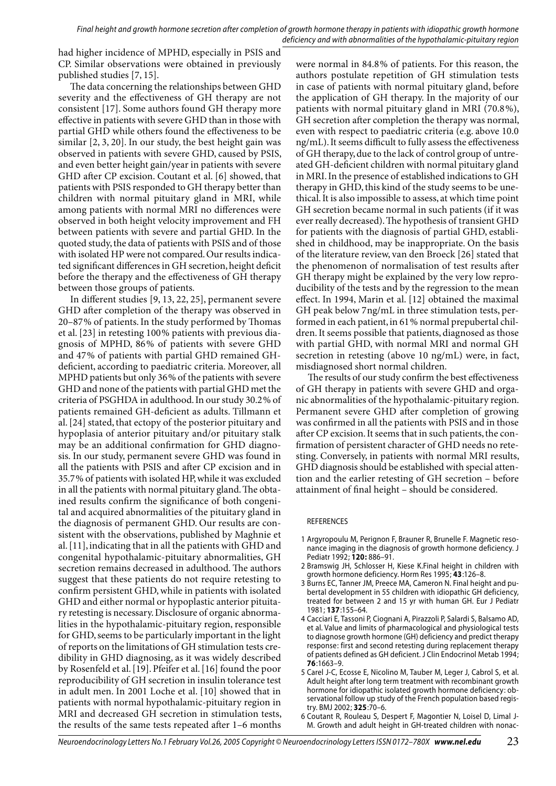Final height and growth hormone secretion after completion of growth hormone therapy in patients with idiopathic growth hormone deficiency and with abnormalities of the hypothalamic-pituitary region

had higher incidence of MPHD, especially in PSIS and CP. Similar observations were obtained in previously published studies [7, 15].

The data concerning the relationships between GHD severity and the effectiveness of GH therapy are not consistent [17]. Some authors found GH therapy more effective in patients with severe GHD than in those with partial GHD while others found the effectiveness to be similar [2, 3, 20]. In our study, the best height gain was observed in patients with severe GHD, caused by PSIS, and even better height gain/year in patients with severe GHD after CP excision. Coutant et al. [6] showed, that patients with PSIS responded to GH therapy better than children with normal pituitary gland in MRI, while among patients with normal MRI no differences were observed in both height velocity improvement and FH between patients with severe and partial GHD. In the quoted study, the data of patients with PSIS and of those with isolated HP were not compared. Our results indicated significant differences in GH secretion, height deficit before the therapy and the effectiveness of GH therapy between those groups of patients.

In different studies [9, 13, 22, 25], permanent severe GHD after completion of the therapy was observed in 20–87% of patients. In the study performed by Thomas et al. [23] in retesting 100 % patients with previous diagnosis of MPHD, 86% of patients with severe GHD and 47 % of patients with partial GHD remained GHdeficient, according to paediatric criteria. Moreover, all MPHD patients but only 36 % of the patients with severe GHD and none of the patients with partial GHD met the criteria of PSGHDA in adulthood. In our study 30.2 % of patients remained GH-deficient as adults. Tillmann et al. [24] stated, that ectopy of the posterior pituitary and hypoplasia of anterior pituitary and/or pituitary stalk may be an additional confirmation for GHD diagnosis. In our study, permanent severe GHD was found in all the patients with PSIS and after CP excision and in 35.7 % of patients with isolated HP, while it was excluded in all the patients with normal pituitary gland. The obtained results confirm the significance of both congenital and acquired abnormalities of the pituitary gland in the diagnosis of permanent GHD. Our results are consistent with the observations, published by Maghnie et al. [11], indicating that in all the patients with GHD and congenital hypothalamic-pituitary abnormalities, GH secretion remains decreased in adulthood. The authors suggest that these patients do not require retesting to confirm persistent GHD, while in patients with isolated GHD and either normal or hypoplastic anterior pituitary retesting is necessary. Disclosure of organic abnormalities in the hypothalamic-pituitary region, responsible for GHD, seems to be particularly important in the light of reports on the limitations of GH stimulation tests credibility in GHD diagnosing, as it was widely described by Rosenfeld et al. [19]. Pfeifer et al. [16] found the poor reproducibility of GH secretion in insulin tolerance test in adult men. In 2001 Loche et al. [10] showed that in patients with normal hypothalamic-pituitary region in MRI and decreased GH secretion in stimulation tests, the results of the same tests repeated after 1–6 months

were normal in 84.8 % of patients. For this reason, the authors postulate repetition of GH stimulation tests in case of patients with normal pituitary gland, before the application of GH therapy. In the majority of our patients with normal pituitary gland in MRI (70.8 %), GH secretion after completion the therapy was normal, even with respect to paediatric criteria (e.g. above 10.0 ng/mL). It seems difficult to fully assess the effectiveness of GH therapy, due to the lack of control group of untreated GH-deficient children with normal pituitary gland in MRI. In the presence of established indications to GH therapy in GHD, this kind of the study seems to be unethical. It is also impossible to assess, at which time point GH secretion became normal in such patients (if it was ever really decreased). The hypothesis of transient GHD for patients with the diagnosis of partial GHD, established in childhood, may be inappropriate. On the basis of the literature review, van den Broeck [26] stated that the phenomenon of normalisation of test results after GH therapy might be explained by the very low reproducibility of the tests and by the regression to the mean effect. In 1994, Marin et al. [12] obtained the maximal GH peak below 7 ng/mL in three stimulation tests, performed in each patient, in 61 % normal prepubertal children. It seems possible that patients, diagnosed as those with partial GHD, with normal MRI and normal GH secretion in retesting (above 10 ng/mL) were, in fact, misdiagnosed short normal children.

The results of our study confirm the best effectiveness of GH therapy in patients with severe GHD and organic abnormalities of the hypothalamic-pituitary region. Permanent severe GHD after completion of growing was confirmed in all the patients with PSIS and in those after CP excision. It seems that in such patients, the confirmation of persistent character of GHD needs no retesting. Conversely, in patients with normal MRI results, GHD diagnosis should be established with special attention and the earlier retesting of GH secretion – before attainment of final height – should be considered.

#### REFERENCES

- 1 Argyropoulu M, Perignon F, Brauner R, Brunelle F. Magnetic resonance imaging in the diagnosis of growth hormone deficiency. J Pediatr 1992 ; **120 :** 886–91.
- 2 Bramswig JH, Schlosser H, Kiese K.Final height in children with growth hormone deficiency. Horm Res 1995 ; **43** :126–8.
- 3 Burns EC, Tanner JM, Preece MA, Cameron N. Final height and pubertal development in 55 children with idiopathic GH deficiency, treated for between 2 and 15 yr with human GH. Eur J Pediatr 1981 ; **137** :155–64.
- 4 Cacciari E, Tassoni P, Ciognani A, Pirazzoli P, Salardi S, Balsamo AD, et al. Value and limits of pharmacological and physiological tests to diagnose growth hormone (GH) deficiency and predict therapy response: first and second retesting during replacement therapy of patients defined as GH deficient. J Clin Endocrinol Metab 1994; **76** :1663–9.
- 5 Carel J-C, Ecosse E, Nicolino M, Tauber M, Leger J, Cabrol S, et al. Adult height after long term treatment with recombinant growth hormone for idiopathic isolated growth hormone deficiency: observational follow up study of the French population based registry. BMJ 2002 ; **325** :70–6.
- 6 Coutant R, Rouleau S, Despert F, Magontier N, Loisel D, Limal J-M. Growth and adult height in GH-treated children with nonac-